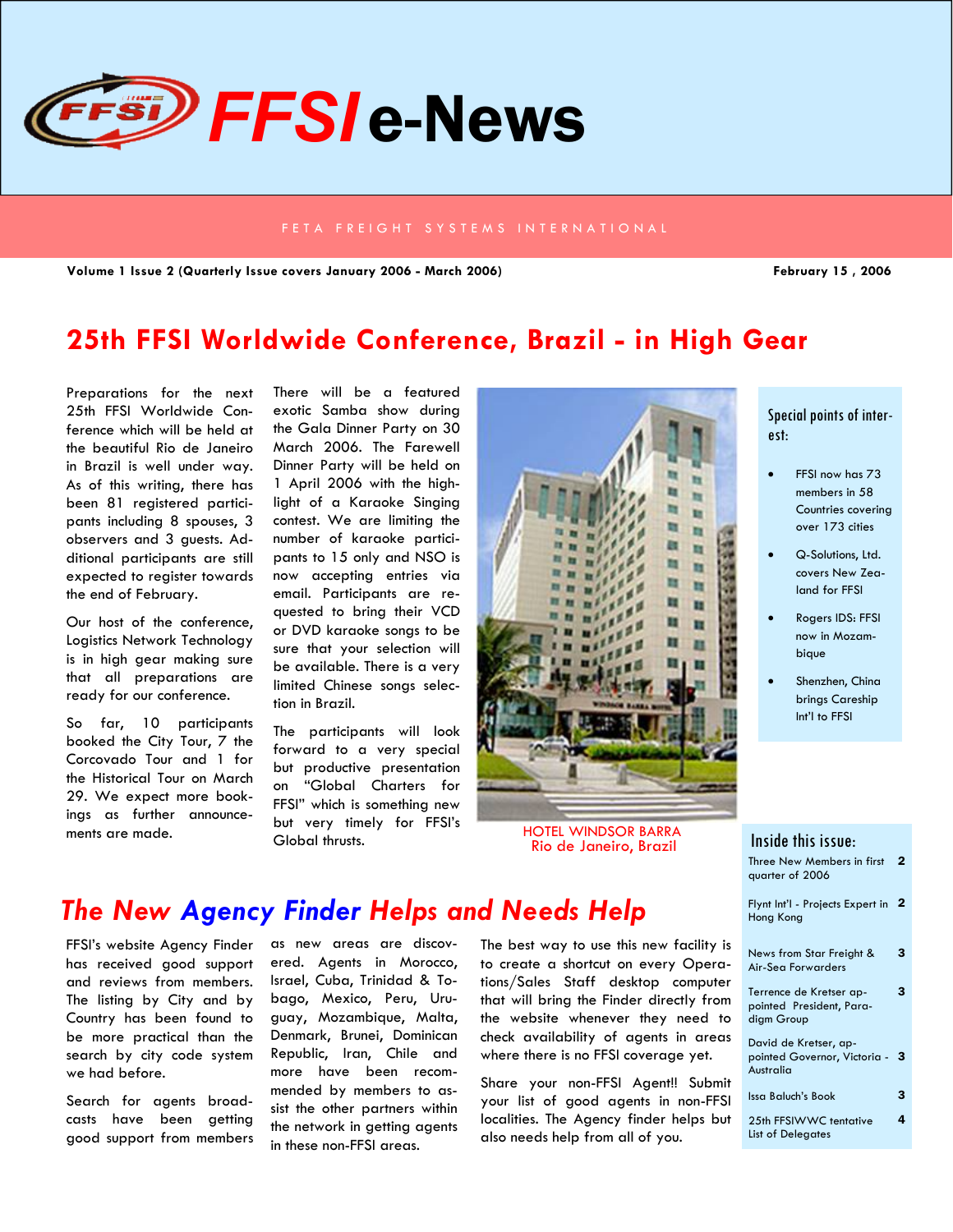

#### FETA FREIGHT SYSTEMS INTERNATIONAL

**Volume 1 Issue 2 (Quarterly Issue covers January 2006 - March 2006) February 15 , 2006** 

# **25th FFSI Worldwide Conference, Brazil - in High Gear**

Preparations for the next 25th FFSI Worldwide Conference which will be held at the beautiful Rio de Janeiro in Brazil is well under way. As of this writing, there has been 81 registered participants including 8 spouses, 3 observers and 3 guests. Additional participants are still expected to register towards the end of February.

Our host of the conference, Logistics Network Technology is in high gear making sure that all preparations are ready for our conference.

So far, 10 participants booked the City Tour, 7 the Corcovado Tour and 1 for the Historical Tour on March 29. We expect more bookings as further announcements are made.

There will be a featured exotic Samba show during the Gala Dinner Party on 30 March 2006. The Farewell Dinner Party will be held on 1 April 2006 with the highlight of a Karaoke Singing contest. We are limiting the number of karaoke participants to 15 only and NSO is now accepting entries via email. Participants are requested to bring their VCD or DVD karaoke songs to be sure that your selection will be available. There is a very limited Chinese songs selection in Brazil.

The participants will look forward to a very special but productive presentation on "Global Charters for FFSI" which is something new but very timely for FFSI's Global thrusts.



Rio de Janeiro, Brazil HOTEL WINDSOR BARRA

#### Special points of interest:

- FFSI now has 73 members in 58 Countries covering over 173 cities
- Q-Solutions, Ltd. covers New Zealand for FFSI
- Rogers IDS: FFSI now in Mozambique
- Shenzhen, China brings Careship Int'l to FFSI

#### Three New Members in first 2 quarter of 2006 Flynt Int'l - Projects Expert in 2 Hong Kong News from Star Freight & Air-Sea Forwarders 3 David de Kretser, appointed Governor, Victoria - 3 Australia Issa Baluch's Book 3 25th FFSIWWC tentative List of Delegates 4 Terrence de Kretser appointed President, Paradigm Group 3 Inside this issue:

## *The New Agency Finder Helps and Needs Help*

FFSI's website Agency Finder has received good support and reviews from members. The listing by City and by Country has been found to be more practical than the search by city code system we had before.

Search for agents broadcasts have been getting good support from members

as new areas are discovered. Agents in Morocco, Israel, Cuba, Trinidad & Tobago, Mexico, Peru, Uruguay, Mozambique, Malta, Denmark, Brunei, Dominican Republic, Iran, Chile and more have been recommended by members to assist the other partners within the network in getting agents in these non-FFSI areas.

The best way to use this new facility is to create a shortcut on every Operations/Sales Staff desktop computer that will bring the Finder directly from the website whenever they need to check availability of agents in areas where there is no FFSI coverage yet.

Share your non-FFSI Agent!! Submit your list of good agents in non-FFSI localities. The Agency finder helps but also needs help from all of you.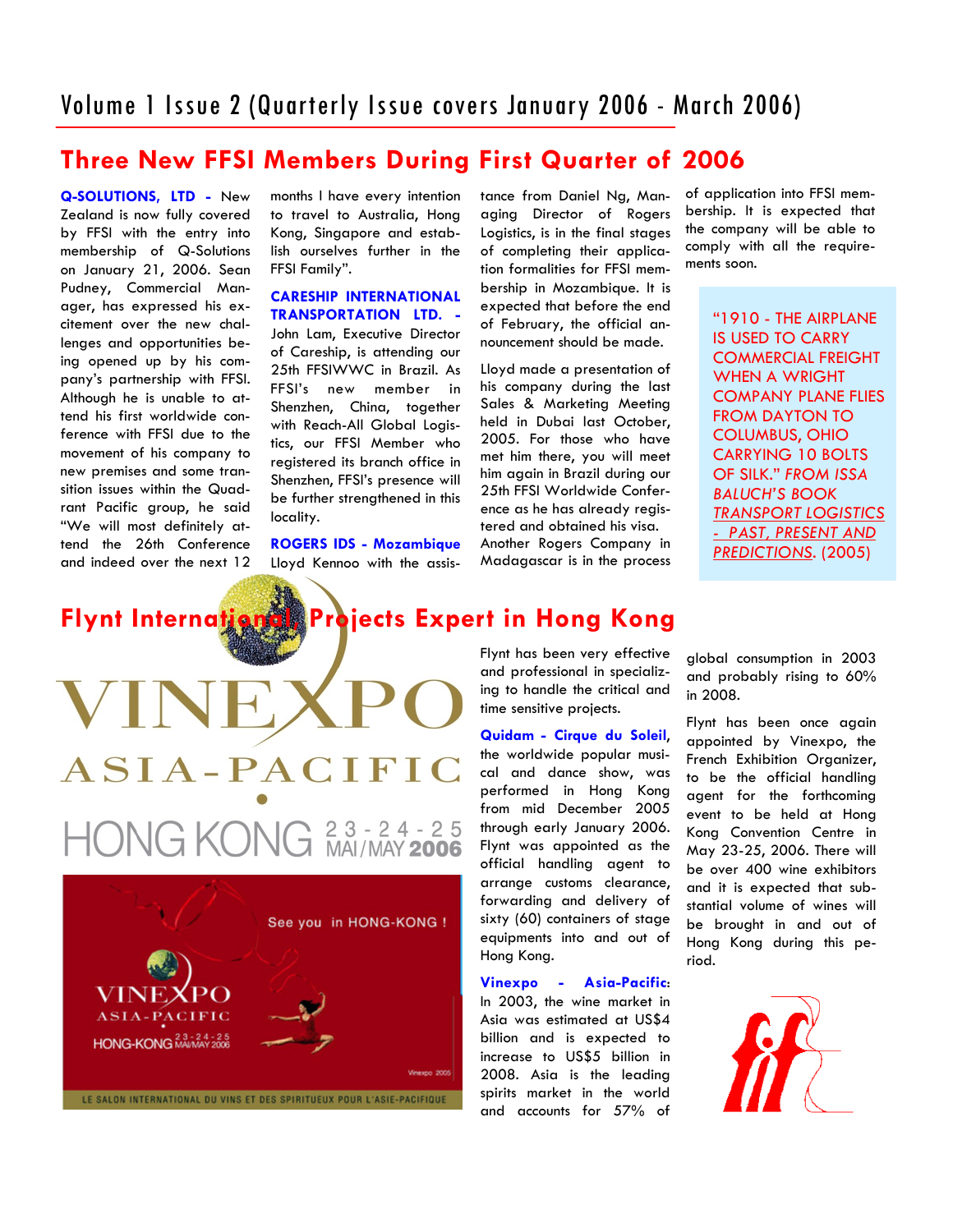# Volume 1 Issue 2 (Quarterly Issue covers January 2006 - March 2006)

### **Three New FFSI Members During First Quarter of 2006**

**Q-SOLUTIONS, LTD -** New Zealand is now fully covered by FFSI with the entry into membership of Q-Solutions on January 21, 2006. Sean Pudney, Commercial Manager, has expressed his excitement over the new challenges and opportunities being opened up by his company's partnership with FFSI. Although he is unable to attend his first worldwide conference with FFSI due to the movement of his company to new premises and some transition issues within the Quadrant Pacific group, he said "We will most definitely attend the 26th Conference and indeed over the next 12 months I have every intention to travel to Australia, Hong Kong, Singapore and establish ourselves further in the FFSI Family".

**CARESHIP INTERNATIONAL TRANSPORTATION LTD. -**  John Lam, Executive Director of Careship, is attending our 25th FFSIWWC in Brazil. As FFSI's new member in Shenzhen, China, together with Reach-All Global Logistics, our FFSI Member who registered its branch office in Shenzhen, FFSI's presence will be further strengthened in this locality.

**ROGERS IDS - Mozambique**  Lloyd Kennoo with the assistance from Daniel Ng, Managing Director of Rogers Logistics, is in the final stages of completing their application formalities for FFSI membership in Mozambique. It is expected that before the end of February, the official announcement should be made.

Lloyd made a presentation of his company during the last Sales & Marketing Meeting held in Dubai last October, 2005. For those who have met him there, you will meet him again in Brazil during our 25th FFSI Worldwide Conference as he has already registered and obtained his visa. Another Rogers Company in

Madagascar is in the process

of application into FFSI membership. It is expected that the company will be able to comply with all the requirements soon.

> "1910 - THE AIRPLANE IS USED TO CARRY COMMERCIAL FREIGHT WHEN A WRIGHT COMPANY PLANE FLIES FROM DAYTON TO COLUMBUS, OHIO CARRYING 10 BOLTS OF SILK." *FROM ISSA BALUCH'S BOOK TRANSPORT LOGISTICS - PAST, PRESENT AND PREDICTIONS.* (2005)

# **Flynt International, Projects Expert in Hong Kong**

 $ASIA-PAC$ **TFIC HONG KONG** 2 3 - 2 4 - 2 5<br>MAI/MAY 2006



Flynt has been very effective and professional in specializing to handle the critical and time sensitive projects.

**Quidam - Cirque du Soleil**, the worldwide popular musical and dance show, was performed in Hong Kong from mid December 2005 through early January 2006. Flynt was appointed as the official handling agent to arrange customs clearance, forwarding and delivery of sixty (60) containers of stage equipments into and out of Hong Kong.

### **Vinexpo - Asia-Pacific**:

In 2003, the wine market in Asia was estimated at US\$4 billion and is expected to increase to US\$5 billion in 2008. Asia is the leading spirits market in the world and accounts for 57% of

global consumption in 2003 and probably rising to 60% in 2008.

Flynt has been once again appointed by Vinexpo, the French Exhibition Organizer, to be the official handling agent for the forthcoming event to be held at Hong Kong Convention Centre in May 23-25, 2006. There will be over 400 wine exhibitors and it is expected that substantial volume of wines will be brought in and out of Hong Kong during this period.

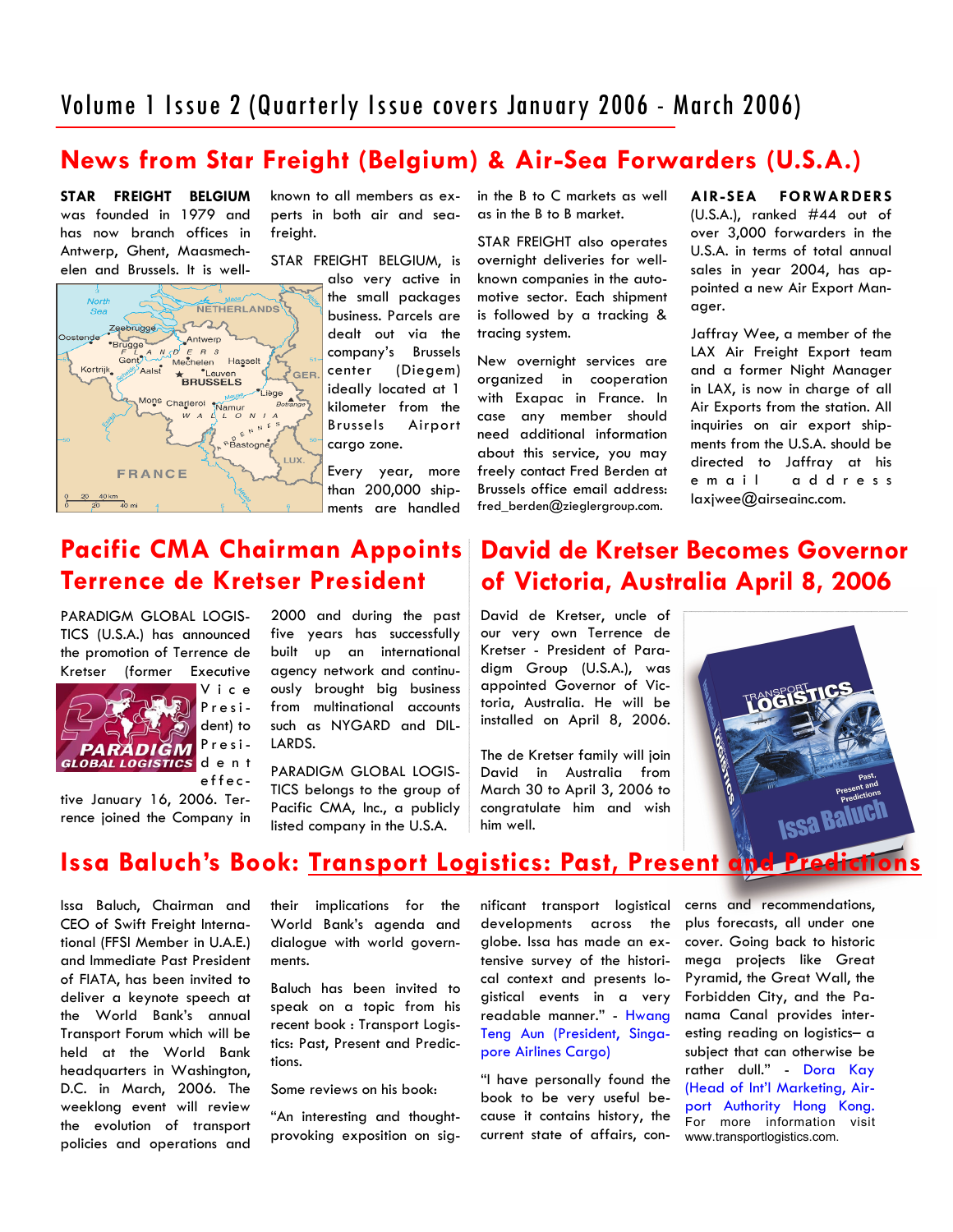# Volume 1 Issue 2 (Quarterly Issue covers January 2006 - March 2006)

### **News from Star Freight (Belgium) & Air-Sea Forwarders (U.S.A.)**

**STAR FREIGHT BELGIUM**  was founded in 1979 and has now branch offices in Antwerp, Ghent, Maasmechelen and Brussels. It is well-



known to all members as experts in both air and seafreight.

STAR FREIGHT BELGIUM, is

also very active in the small packages business. Parcels are dealt out via the company's Brussels center (Diegem) ideally located at 1 kilometer from the Brussels Airport cargo zone.

Every year, more than 200,000 shipments are handled

in the B to C markets as well as in the B to B market.

STAR FREIGHT also operates overnight deliveries for wellknown companies in the automotive sector. Each shipment is followed by a tracking & tracing system.

New overnight services are organized in cooperation with Exapac in France. In case any member should need additional information about this service, you may freely contact Fred Berden at Brussels office email address: fred\_berden@zieglergroup.com.

**AIR-SEA FORWARDERS**  (U.S.A.), ranked #44 out of over 3,000 forwarders in the U.S.A. in terms of total annual sales in year 2004, has appointed a new Air Export Manager.

Jaffray Wee, a member of the LAX Air Freight Export team and a former Night Manager in LAX, is now in charge of all Air Exports from the station. All inquiries on air export shipments from the U.S.A. should be directed to Jaffray at his e m a il a d d r e s s  $laxiwee@airseainc.com.$ 

# **Pacific CMA Chairman Appoints Terrence de Kretser President**

PARADIGM GLOBAL LOGIS-TICS (U.S.A.) has announced the promotion of Terrence de Kretser (former Executive



V i c e President) to Presid e n t

effective January 16, 2006. Terrence joined the Company in

2000 and during the past five years has successfully built up an international agency network and continuously brought big business from multinational accounts such as NYGARD and DIL-LARDS.

PARADIGM GLOBAL LOGIS-TICS belongs to the group of Pacific CMA, Inc., a publicly listed company in the U.S.A.

### **David de Kretser Becomes Governor of Victoria, Australia April 8, 2006**

David de Kretser, uncle of our very own Terrence de Kretser - President of Paradigm Group (U.S.A.), was appointed Governor of Victoria, Australia. He will be installed on April 8, 2006.

The de Kretser family will join David in Australia from March 30 to April 3, 2006 to congratulate him and wish him well.



### **Issa Baluch's Book: Transport Logistics: Past, Present and Predictions**

Issa Baluch, Chairman and CEO of Swift Freight International (FFSI Member in U.A.E.) and Immediate Past President of FIATA, has been invited to deliver a keynote speech at the World Bank's annual Transport Forum which will be held at the World Bank headquarters in Washington, D.C. in March, 2006. The weeklong event will review the evolution of transport policies and operations and

their implications for the World Bank's agenda and dialogue with world governments.

Baluch has been invited to speak on a topic from his recent book : Transport Logistics: Past, Present and Predictions.

Some reviews on his book:

"An interesting and thoughtprovoking exposition on significant transport logistical developments across the globe. Issa has made an extensive survey of the historical context and presents logistical events in a very readable manner." - Hwang Teng Aun (President, Singapore Airlines Cargo)

"I have personally found the book to be very useful because it contains history, the current state of affairs, concerns and recommendations, plus forecasts, all under one cover. Going back to historic mega projects like Great Pyramid, the Great Wall, the Forbidden City, and the Panama Canal provides interesting reading on logistics– a subject that can otherwise be rather dull." - Dora Kay (Head of Int'l Marketing, Airport Authority Hong Kong. For more information visit www.transportlogistics.com.